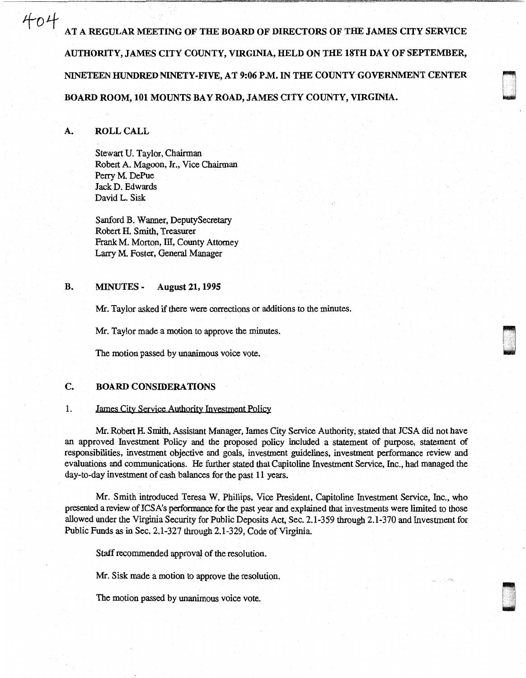$\text{404}\quad$  at a regular meeting of the board of directors of the james city service AUTHORITY, JAMES CITY COUNTY, VIRGINIA, HELD ON THE 18TH DAY OF SEPTEMBER, NINETEEN HUNDRED NINETY-FIVE, AT 9:06 P.M. IN THE COUNTY GOVERNMENT CENTER BOARD ROOM, 101 MOUNTS BAY ROAD, JAMES CITY COUNTY, VIRGINIA.

D I

u .<br>U .<br>U . .

## A. ROLL CALL

Stewart U. Taylor, Chairman Robert A. Magoon, Jr., Vice Chairman Perry M. DePue Jack D. Edwards David L. Sisk

Sanford B. Wanner, DeputySecretary Robert H. Smith, Treasurer Frank M. Morton, III, County Attorney Larry M. Foster, General Manager

# B. MINUTES - August 21, 1995

Mr. Taylor asked if there were corrections or additions to the minutes.

Mr. Taylor made a motion to approve the minutes.

The motion passed by unanimous voice vote.

# C. BOARD CONSIDERATIONS

#### 1. James City Seryice Authority Investment Policy

Mr. Robert H. Smith, Assistant Manager, James City Service Authority, stated that JCSA did not have an approved Investment Policy and the proposed policy included a statement of purpose, statement of responsibilities, investment objective and goals, investment guidelines, investment performance review and evaluations and communications. He further stated that Capitoline Investment Service, Inc., had managed the day-to-day investment of cash balances for the past 11 years.

Mr. Smith introduced Teresa W. Phillips, Vice President, Capitoline Investment Service, Inc., who presented a review of JCSA's performance for the past year and explained that investments were limited to those allowed under the Virginia Security for Public Deposits Act, Sec. 2.1-359 through 2.1-370 and Investment for Public Funds as in Sec. 2.1-327 through 2.1-329, Code of Virginia.

Staff recommended approval of the resolution.

Mr. Sisk made a motion to approve the resolution.

The motion passed by unanimous voice vote.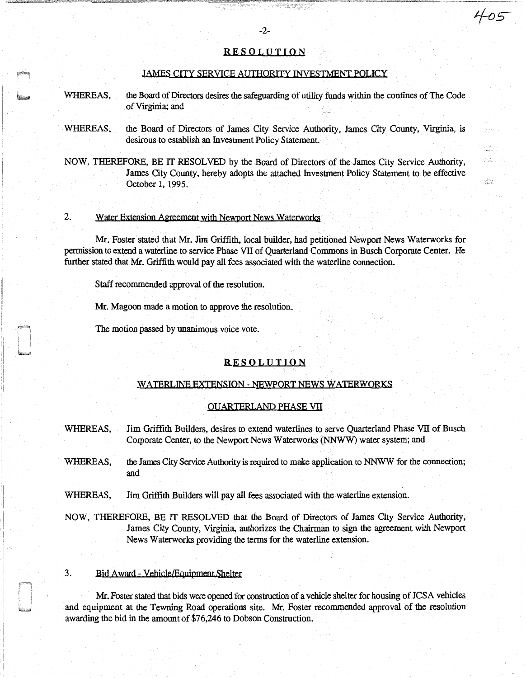## **RESOLUTION**

#### JAMES CITY SERVICE AUTHORITY INVESTMENT POLICY

- WHEREAS, the Board of Directors desires the safeguarding of utility funds within the confines of The Code of Virginia; and
- WHEREAS, the Board of Directors of James City Service Authority, James City County, Virginia, is desirous to establish an Investment Policy Statement.
- NOW, THEREFORE, BE IT RESOLVED by the Board of Directors of the James City Service Authority, James City County, hereby adopts the attached Investment Policy Statement to be effective October 1, 1995.

# 2. Water Extension Aereement with Newport News Waterworks

Mr. Foster stated that Mr. Jim Griffith, local builder, had petitioned Newport News Waterworks for permission to extend a waterline to service Phase VII of Quarterland Commons in Busch Corporate Center. He further stated that Mr. Griffith would pay all fees associated with the waterline connection.

Staff recommended approval of the resolution.

Mr. Magoon made a motion to approve the resolution.

The motion passed by unanimous voice vote.

## RESOLUTION

#### WATERLINE EXIENSION - NEWPORT NEWS WATERWORKS

#### QUARTERLANP PHASE VII

- WHEREAS, Jim Griffith Builders, desires to extend waterlines to serve Quarterland Phase VII of Busch Corporate Center, to the Newport News Waterworks (NNWW) water system; and
- WHEREAS, the James City Service Authority is required to make application to NNWW for the connection; and

WHEREAS, Jim Griffith Builders will pay all fees associated with the waterline extension.

NOW, THEREFORE, BE IT RESOLVED that the Board of Directors of James City Service Authority, James City County, Virginia, authorizes the Chairman to sign the agreement with Newport News Waterworks providing the terms for the waterline extension.

#### 3. Bid Award - Vehicle/Equipment Shelter

 $\rightarrow$ 

Mr. Foster stated that bids were opened for construction of a vehicle shelter for housing of JCSA vehicles and equipment at the Tewning Road operations site. Mr. Foster recommended approval of the resolution awarding the bid in the amount of \$76,246 to Dobson Construction.

**TRONGRESS** 

705

ain.<br>Walio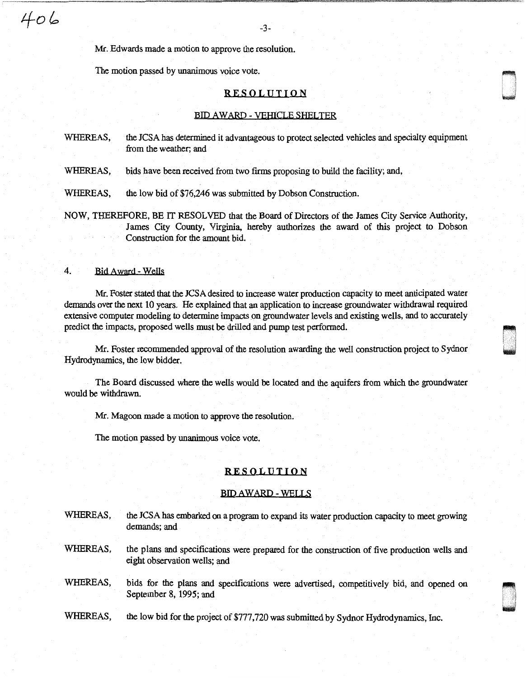Mr. Edwards made a motion to approve the resolution.

The motion passed by unanimous voice vote.

## RESOLUTION

#### BID AWARD - VEHICLE SHELTER

WHEREAS, the JCSA has determined it advantageous to protect selected vehicles and specialty equipment from the weather; and

WHEREAS, bids have been received from two firms proposing to build the facility; and,

WHEREAS, the low bid of \$76,246 was submitted by Dobson Construction.

NOW, THEREFORE, BE IT RESOLVED that the Board of Directors of the James City Service Authority, James City County, Virginia, hereby authorizes the award of this project to Dobson Construction for the amount bid.

## 4. Bid Award - Wells

Mr. Foster stated that the JCSA desired to increase water production capacity to meet anticipated water demands over the next 10 years. He explained that an application to increase groundwater withdrawal required extensive computer modeling to determine impacts on groundwater levels and existing wells, and to accurately predict the impacts, proposed wells must be drilled and pump test performed.

Mr. Foster recommended approval of the resolution awarding the well construction project to Sydnor Hydrodynamics, the low bidder.

The Board discussed where the wells would be located and the aquifers from which the groundwater would be withdrawn.

Mr. Magoon made a motion to approve the resolution.

The motion passed by unanimous voice vote.

# RESOLUTION

#### BID AWARD -WELLS

WHEREAS, the JCSA has embarked on a program to expand its water production capacity to meet growing demands; and

WHEREAS, the plans and specifications were prepared for the construction of five production wells and eight observation wells; and

WHEREAS, bids for the plans and specifications were advertised, competitively bid, and opened on September 8, 1995; and

WHEREAS, the low bid for the project of \$777,720 was submitted by Sydnor Hydrodynamics, Inc.

ri w

~ I I und<br>List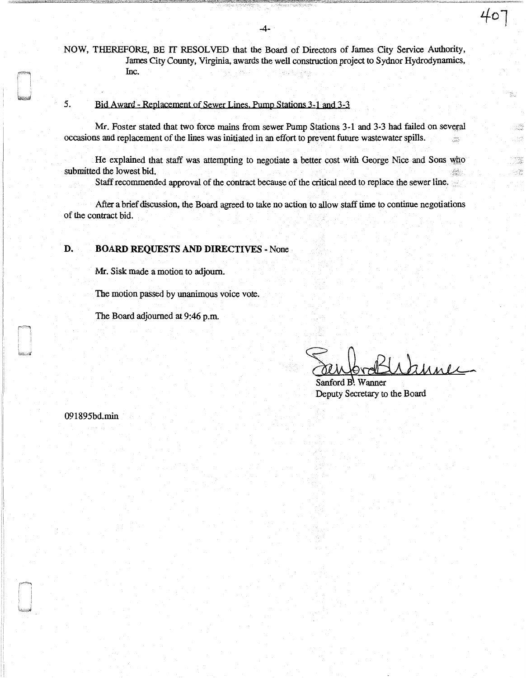NOW, THEREFORE, BE IT RESOLVED that the Board of Directors of James City Service Authority, James City County, Virginia, awards the well construction project to Sydnor Hydrodynamics, Inc.

# *5.* Bid Award - Replacement of Sewer Lines. Pump Stations 3-1 and 3-3

Mr. Foster stated that two force mains from sewer Pump Stations 3-1 and 3-3 had failed on several occasions and replacement of the lines was initiated in an effort to prevent future wastewater spills.

He explained that staff was attempting to negotiate a better cost with George Nice and Sons who submitted the lowest bid.  $\frac{1}{2} \frac{1}{2} \frac{1}{2} \frac{1}{2}$ 

Staff recommended approval of the contract because of the critical need to replace the sewer line.

After a brief discussion, the Board agreed to take no action to allow staff time to continue negotiations of the contract bid.

# D. BOARD REQUESTS AND DIRECTIVES - None

Mr. Sisk made a motion to adjourn.

The motion passed by unanimous voice vote.

The Board adjourned at 9:46 p.m.

Sanford B. Wanner

ן 20

麻

e e della<br>Traduzia  $\mathcal{N}^{(0)}$ 

 $\begin{array}{c} \Delta^{\prime}(\frac{1}{2} \pi \epsilon)\\ \Delta^{\prime}(\frac{1}{2} \pi \epsilon)\\ \Delta^{\prime}(\frac{1}{2} \pi \epsilon)\\ \Delta^{\prime}(\frac{1}{2} \pi \epsilon)\\ \Delta^{\prime}(\frac{1}{2} \pi \epsilon)\\ \Delta^{\prime}(\frac{1}{2} \pi \epsilon)\\ \Delta^{\prime}(\frac{1}{2} \pi \epsilon)\\ \Delta^{\prime}(\frac{1}{2} \pi \epsilon)\\ \Delta^{\prime}(\frac{1}{2} \pi \epsilon)\\ \Delta^{\prime}(\frac{1}{2} \pi \epsilon)\\ \Delta^{\prime}(\frac{1}{2} \pi \epsilon)\\ \Delta^{\$  $\sim 8\frac{969}{85}$ 

Deputy Secretary to the Board

091895bd.min

' 1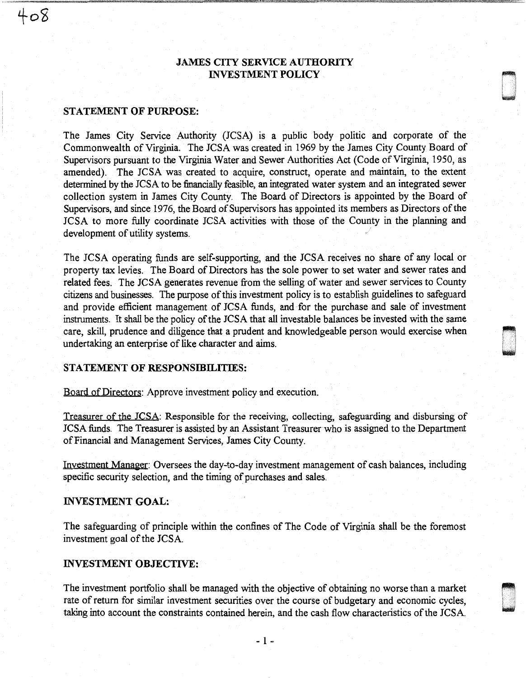# JAMES CITY SERVICE AUTHORITY INVESTMENT POLICY

 $\blacksquare$ 

~

## STATEMENT OF PURPOSE:

 $408$ 

The James City Service Authority (JCSA) is a public body politic and corporate of the Commonwealth of Virginia. The JCSA was created in 1969 by the James City County Board of Supervisors pursuant to the Virginia Water and Sewer Authorities Act (Code of Virginia, 1950, as amended). The JCSA was created to acquire, construct, operate and maintain, to the extent determined by the JCSA to be financially feasible, an integrated water system and an integrated sewer collection system in James City County. The Board of Directors is appointed by the Board of Supervisors, and since 1976, the Board of Supervisors has appointed its members as Directors of the JCSA to more fully coordinate JCSA activities with those of the County in the planning and development of utility systems.

The JCSA operating funds are self-supporting, and the JCSA receives no share of any local or property tax levies. The Board of Directors has the sole power to set water and sewer rates and related fees. The JCSA generates revenue from the selling of water and sewer services to County citizens and businesses. The purpose of this investment policy is to establish guidelines to safeguard and provide efficient management of JCSA funds, and for the purchase and sale of investment instruments. It shall be the policy of the JCSA that all investable balances be invested with the same care, skill, prudence and diligence that a prudent and knowledgeable person would exercise when undertaking an enterprise of like character and aims. .

# STATEMENT OF RESPONSIBILITIES:

Board of Directors: Approve investment policy and execution.

Treasurer of the JCSA: Responsible for the receiving, collecting, safeguarding and disbursing of JCSA funds. The Treasurer is assisted by an Assistant Treasurer who is assigned to the Department of Financial and Management Services, James City County.

Investment Manager: Oversees the day-to-day investment management of cash balances, including specific security selection, and the timing of purchases and sales.

# INVESTMENT GOAL:

The safeguarding of principle within the confines of The Code of Virginia shall be the foremost investment goal of the JCSA.

### INVESTMENT OBJECTIVE:

The investment portfolio shall be managed with the objective of obtaining no worse than a market rate of return for similar investment securities over the course of budgetary and economic cycles, taking into account the constraints contained herein, and the cash flow characteristics of the JCSA.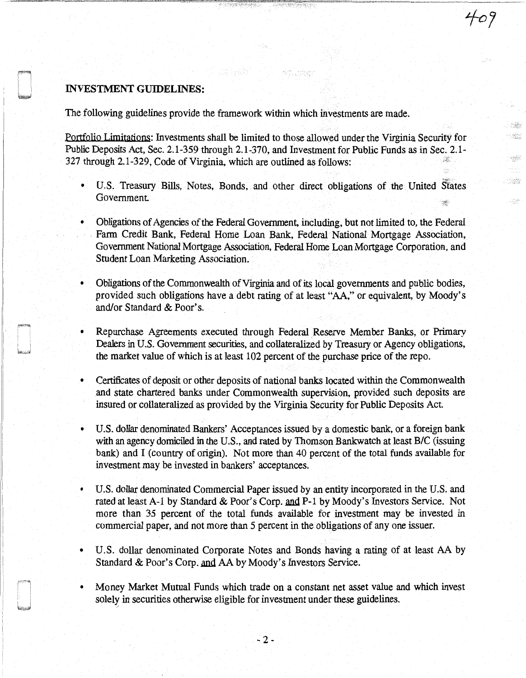# INVESTMENT GUIDELINES:

The following guidelines provide the framework within which investments are made.

Portfolio Limitations: Investments shall be limited to those allowed under the Virginia Security for Public Deposits Act, Sec. 2.1-359 through 2.1-370, and Investment for Public Funds as in Sec. 2.1- 327 through 2.1-329, Code of Virginia, which are outlined as follows:

aktiv star

 $\sim 2.2$  $\frac{1}{\sqrt{2}}\frac{1}{\sqrt{2}}\frac{1}{\sqrt{2}}\frac{1}{\sqrt{2}}\frac{1}{\sqrt{2}}\frac{1}{\sqrt{2}}\frac{1}{\sqrt{2}}\frac{1}{\sqrt{2}}\frac{1}{\sqrt{2}}\frac{1}{\sqrt{2}}\frac{1}{\sqrt{2}}\frac{1}{\sqrt{2}}\frac{1}{\sqrt{2}}\frac{1}{\sqrt{2}}\frac{1}{\sqrt{2}}\frac{1}{\sqrt{2}}\frac{1}{\sqrt{2}}\frac{1}{\sqrt{2}}\frac{1}{\sqrt{2}}\frac{1}{\sqrt{2}}\frac{1}{\sqrt{2}}\frac{1}{\sqrt{2}}$ 

 $\approx 2.3\,\mathrm{MeV}$ 

 $-1.383$ 

an<br>Sa

- U.S. Treasury Bills, Notes, Bonds, and other direct obligations of the United siates Government
- Obligations of Agencies of the Federal Government, including, but not limited to, the Federal Farm Credit Bank, Federal Home Loan Bank, Federal National Mortgage Association, Government National Mortgage Association, Federal Home Loan Mortgage Corporation, and Student Loan Marketing Association.
- Obligations of the Commonwealth of Virginia and of its local governments and public bodies, provided such obligations have a debt rating of at least "AA," or equivalent, by Moody's and/or Standard & Poor's.
- Repurchase Agreements executed through Federal Reserve Member Banks, or Primary Dealers in U.S. Government securities, and collateralized by Treasury or Agency obligations, the market value of which is at least 102 percent of the purchase price of the repo.
- Certificates of deposit or other deposits of national banks located within the Commonwealth and state chartered banks under Commonwealth supervision, provided such deposits are insured or collateralized as provided by the Virginia Security for Public Deposits Act
- U.S. dollar denominated Bankers' Acceptances issued by a domestic bank, or a foreign bank with an agency domiciled in the U.S., and rated by Thomson Bankwatch at least B/C (issuing bank) and I (country of origin). Not more than 40 percent of the total funds available for investment may be invested in bankers' acceptances.
- U.S. dollar denominated Commercial Paper issued by an entity incorporated in the U.S. and rated at least A-1 by Standard & Poor's Corp. and P-1 by Moody's Investors Service. Not more than 35 percent of the total funds available for investment may be invested in commercial paper, and not more than 5 percent in the obligations of any one issuer.
- U.S. dollar denominated Corporate Notes and Bonds having a rating of at least AA by Standard & Poor's Corp. and AA by Moody's Investors Service.
- Money Market Mutual Funds which trade on a constant net asset value and which invest solely in securities otherwise eligible for investment under these guidelines.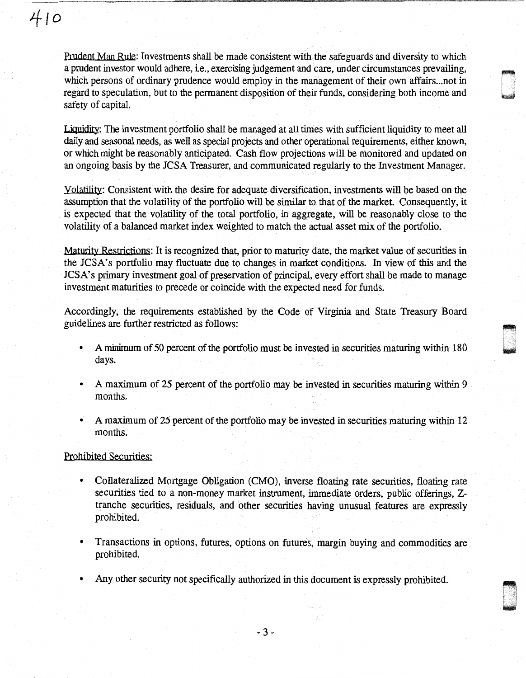# *4to*

Prudent Man Rule: Investments shall be made consistent with the safeguards and diversity to which a prudent investor would adhere, ie., exercising judgement and care, under circumstances prevailing, which persons of ordinary prudence would employ in the management of their own affairs... not in regard to speculation, but to the permanent disposition of their funds, considering both income and safety of capital.

Liquidity: The investment portfolio shall be managed at all times with sufficient liquidity to meet all daily and seasonal needs, as well as special projects and other operational requirements, either known, or which might be reasonably anticipated. Cash flow projections will be monitored and updated on an ongoing basis by the JCSA Treasurer, and communicated regularly to the Investment Manager.

Yolatility: Consistent with the desire for adequate diversification, investments will be based on the assumption that the volatility of the portfolio will be similar to that of the market. Consequently, it is expected that the volatility of the total portfolio, in aggregate, will be reasonably close to the volatility of a balanced market index weighted to match the actual asset mix of the portfolio.

Maturity Restrictions: It is recognized that, prior to maturity date, the market value of securities in the JCSA's portfolio may fluctuate due to changes in market conditions. In view of this and the JCSA's primary investment goal of preservation of principal, every effort shall be made to manage investment maturities to precede or coincide with the expected need for funds.

Accordingly, the requirements established by the Code of Virginia and State Treasury Board guidelines are further restricted as follows:

• A minimum of 50 percent of the portfolio must be invested in securities maturing within 180 days.

t ~I . u<br>u

- A maximum of 25 percent of the portfolio may be invested in securities maturing within 9 months.
- A maximum of 25 percent of the portfolio may be invested in securities maturing within 12 months.

# Prohibited Securities:

- Collateralized Mortgage Obligation (CMO), inverse floating rate securities, floating rate securities tied to a non-money market instrument, immediate orders, public offerings, Ztranche securities, residuals, and other securities having unusual features are expressly prohibited.
- Transactions in options, futures, options on futures, margin buying and commodities are prohibited.
- Any other security not specifically authorized in this document is expressly prohibited .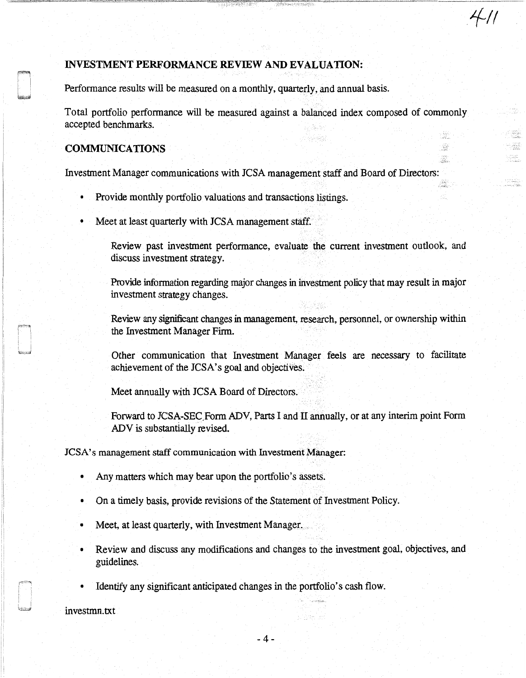# INVESTMENT PERFORMANCE REVIEW AND EVALUATION:

Perfonnance results will be measured on a monthly, quarterly, and annual basis.

Total portfolio perfonnance will be measured against a balanced index composed of commonly accepted benchmarks.

*.1-11* 

angelser<br>Senatur 55 enton.<br>Politikoa

# COMMUNICATIONS

Investment Manager communications with JCSA management staff and Board of Directors:

- Provide monthly portfolio valuations and transactions listings.
- Meet at least quarterly with JCSA management staff.

Review past investment perfonnance, evaluate the current investment outlook, and discuss investment strategy.

Provide information regarding major changes in investment policy that may result in major investment strategy changes.

Review any significant changes in management, research, personnel, or ownership within the Investment Manager Firm.

Other communication that Investment Manager feels are necessary to facilitate achievement of the JCSA's goal and objectives.

Meet annually with JCSA Board of Directors.

Forward to JCSA-SEC Form ADV, Parts I and II annually, or at any interim point Form ADV is substantially revised.

JCSA's management staff communication with Investment Manager:

- Any matters which may bear upon the portfolio's assets.
- On a timely basis, provide revisions of the Statement of Investment Policy.
- Meet, at least quarterly, with Investment Manager.
- Review and discuss any modifications and changes to the investment goal, objectives, and guidelines.
- Identify any significant anticipated changes in the portfolio's cash flow.

investmn.txt

 $\vert$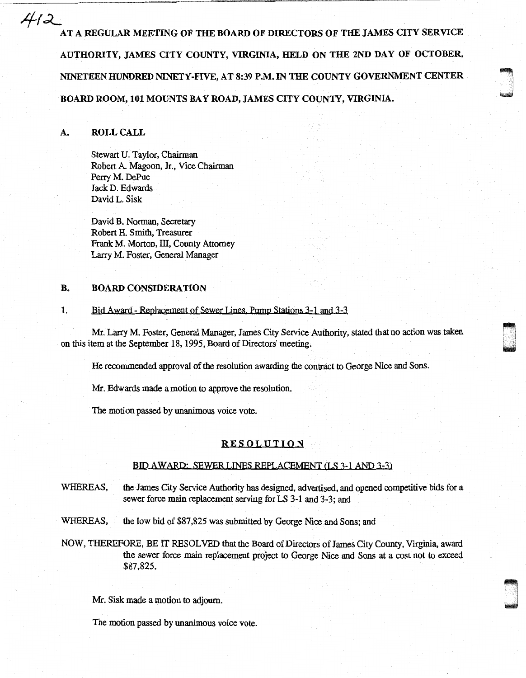AT A REGULAR MEETING OF THE BOARD OF DIRECTORS OF THE JAMES CITY SERVICE AUTHORITY, JAMES CITY COUNTY, VIRGINIA, HELD ON THE 2ND DAY OF OCTOBER, NINETEEN HUNDRED NINETY-FIVE, AT 8:39 P.M. IN THE COUNTY GOVERNMENT CENTER BOARD ROOM, 101 MOUNTS BAY ROAD, JAMES CITY COUNTY, VIRGINIA.

## A. ROLL CALL

 $4/2$ 

Stewart U. Taylor, Chairman Robert A. Magoon, Jr., Vice Chairman Perry M. DePue Jack D. Edwards David L. Sisk

David B. Norman, Secretary Robert H. Smith, Treasurer Frank M. Morton, III, County Attorney Larry M. Foster, General Manager

## B. BOARD CONSIDERATION

# 1. Bid Award - Replacement of Sewer Lines. Pump Stations 3-1 and 3-3

 $\alpha$  aken on this item at the September 18, 1995, Board of Directors' meeting.<br>On this item at the September 18, 1995, Board of Directors' meeting.

He recommended approval of the resolution awarding the contract to George Nice and Sons.

Mr. Edwards made a motion to approve the resolution.

The motion passed by unanimous voice vote.

#### RESOLUTION

#### BID AWARP· SEWBR LINES REPLACEMENT (LS 3-1 ANO 3-3)

- WHEREAS, the James City Service Authority has designed, advertised, and opened competitive bids for a sewer force main replacement serving for LS 3-1 and 3-3; and
- WHEREAS, the low bid of \$87,825 was submitted by George Nice and Sons; and
- NOW, THEREFORE, BE IT RESOLVED that the Board of Directors of James City County, Virginia, award the sewer force main replacement project to George Nice and Sons at a cost not to exceed \$87,825.

composite<br>Composite<br>Composite

Mr. Sisk made a motion to adjourn.

The motion passed by unanimous voice vote.